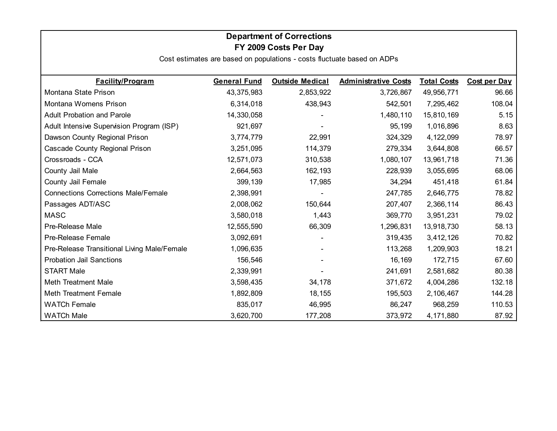### **Department of Corrections FY 2009 Costs Per Day**

| <b>Facility/Program</b>                     | <b>General Fund</b> | <b>Outside Medical</b> | <b>Administrative Costs</b> | <b>Total Costs</b> | <b>Cost per Day</b> |
|---------------------------------------------|---------------------|------------------------|-----------------------------|--------------------|---------------------|
| Montana State Prison                        | 43,375,983          | 2,853,922              | 3,726,867                   | 49,956,771         | 96.66               |
| Montana Womens Prison                       | 6,314,018           | 438,943                | 542,501                     | 7,295,462          | 108.04              |
| <b>Adult Probation and Parole</b>           | 14,330,058          |                        | 1,480,110                   | 15,810,169         | 5.15                |
| Adult Intensive Supervision Program (ISP)   | 921,697             |                        | 95,199                      | 1,016,896          | 8.63                |
| Dawson County Regional Prison               | 3,774,779           | 22,991                 | 324,329                     | 4,122,099          | 78.97               |
| Cascade County Regional Prison              | 3,251,095           | 114,379                | 279,334                     | 3,644,808          | 66.57               |
| Crossroads - CCA                            | 12,571,073          | 310,538                | 1,080,107                   | 13,961,718         | 71.36               |
| County Jail Male                            | 2,664,563           | 162,193                | 228,939                     | 3,055,695          | 68.06               |
| County Jail Female                          | 399,139             | 17,985                 | 34,294                      | 451,418            | 61.84               |
| <b>Connections Corrections Male/Female</b>  | 2,398,991           |                        | 247,785                     | 2,646,775          | 78.82               |
| Passages ADT/ASC                            | 2,008,062           | 150,644                | 207,407                     | 2,366,114          | 86.43               |
| <b>MASC</b>                                 | 3,580,018           | 1,443                  | 369,770                     | 3,951,231          | 79.02               |
| Pre-Release Male                            | 12,555,590          | 66,309                 | 1,296,831                   | 13,918,730         | 58.13               |
| <b>Pre-Release Female</b>                   | 3,092,691           |                        | 319,435                     | 3,412,126          | 70.82               |
| Pre-Release Transitional Living Male/Female | 1,096,635           |                        | 113,268                     | 1,209,903          | 18.21               |
| <b>Probation Jail Sanctions</b>             | 156,546             |                        | 16,169                      | 172,715            | 67.60               |
| <b>START Male</b>                           | 2,339,991           |                        | 241,691                     | 2,581,682          | 80.38               |
| Meth Treatment Male                         | 3,598,435           | 34,178                 | 371,672                     | 4,004,286          | 132.18              |
| <b>Meth Treatment Female</b>                | 1,892,809           | 18,155                 | 195,503                     | 2,106,467          | 144.28              |
| <b>WATCh Female</b>                         | 835,017             | 46,995                 | 86,247                      | 968,259            | 110.53              |
| <b>WATCh Male</b>                           | 3,620,700           | 177,208                | 373,972                     | 4,171,880          | 87.92               |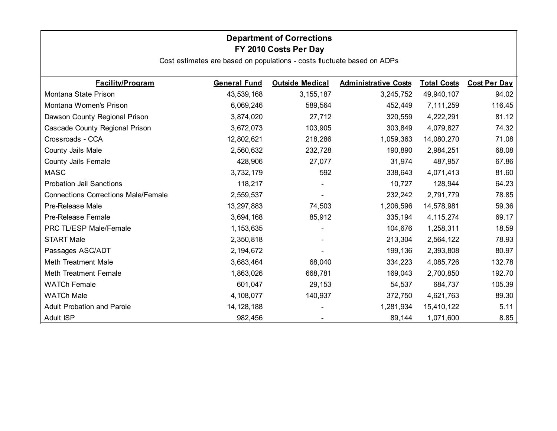### **Department of Corrections FY 2010 Costs Per Day**

| <b>Facility/Program</b>                    | <b>General Fund</b> | <b>Outside Medical</b> | <b>Administrative Costs</b> | <b>Total Costs</b> | <b>Cost Per Day</b> |
|--------------------------------------------|---------------------|------------------------|-----------------------------|--------------------|---------------------|
| Montana State Prison                       | 43,539,168          | 3, 155, 187            | 3,245,752                   | 49,940,107         | 94.02               |
| Montana Women's Prison                     | 6,069,246           | 589,564                | 452,449                     | 7,111,259          | 116.45              |
| Dawson County Regional Prison              | 3,874,020           | 27,712                 | 320,559                     | 4,222,291          | 81.12               |
| Cascade County Regional Prison             | 3,672,073           | 103,905                | 303,849                     | 4,079,827          | 74.32               |
| Crossroads - CCA                           | 12,802,621          | 218,286                | 1,059,363                   | 14,080,270         | 71.08               |
| County Jails Male                          | 2,560,632           | 232,728                | 190,890                     | 2,984,251          | 68.08               |
| County Jails Female                        | 428,906             | 27,077                 | 31,974                      | 487,957            | 67.86               |
| <b>MASC</b>                                | 3,732,179           | 592                    | 338,643                     | 4,071,413          | 81.60               |
| <b>Probation Jail Sanctions</b>            | 118,217             | $\blacksquare$         | 10,727                      | 128,944            | 64.23               |
| <b>Connections Corrections Male/Female</b> | 2,559,537           |                        | 232,242                     | 2,791,779          | 78.85               |
| Pre-Release Male                           | 13,297,883          | 74,503                 | 1,206,596                   | 14,578,981         | 59.36               |
| Pre-Release Female                         | 3,694,168           | 85,912                 | 335,194                     | 4, 115, 274        | 69.17               |
| PRC TL/ESP Male/Female                     | 1,153,635           |                        | 104,676                     | 1,258,311          | 18.59               |
| <b>START Male</b>                          | 2,350,818           |                        | 213,304                     | 2,564,122          | 78.93               |
| Passages ASC/ADT                           | 2,194,672           |                        | 199,136                     | 2,393,808          | 80.97               |
| Meth Treatment Male                        | 3,683,464           | 68,040                 | 334,223                     | 4,085,726          | 132.78              |
| <b>Meth Treatment Female</b>               | 1,863,026           | 668,781                | 169,043                     | 2,700,850          | 192.70              |
| <b>WATCh Female</b>                        | 601,047             | 29,153                 | 54,537                      | 684,737            | 105.39              |
| <b>WATCh Male</b>                          | 4,108,077           | 140,937                | 372,750                     | 4,621,763          | 89.30               |
| <b>Adult Probation and Parole</b>          | 14, 128, 188        |                        | 1,281,934                   | 15,410,122         | 5.11                |
| <b>Adult ISP</b>                           | 982,456             |                        | 89,144                      | 1,071,600          | 8.85                |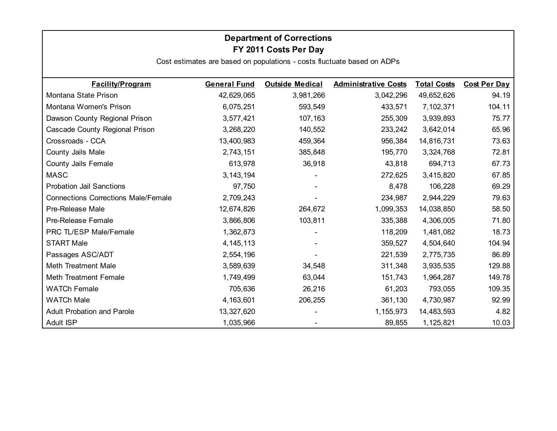### **Department of Corrections FY 2011 Costs Per Day**

| <b>Facility/Program</b>                    | <b>General Fund</b> | <b>Outside Medical</b> | <b>Administrative Costs</b> | <b>Total Costs</b> | <b>Cost Per Day</b> |
|--------------------------------------------|---------------------|------------------------|-----------------------------|--------------------|---------------------|
| Montana State Prison                       | 42,629,065          | 3,981,266              | 3,042,296                   | 49,652,626         | 94.19               |
| Montana Women's Prison                     | 6,075,251           | 593,549                | 433,571                     | 7,102,371          | 104.11              |
| Dawson County Regional Prison              | 3,577,421           | 107,163                | 255,309                     | 3,939,893          | 75.77               |
| Cascade County Regional Prison             | 3,268,220           | 140,552                | 233,242                     | 3,642,014          | 65.96               |
| Crossroads - CCA                           | 13,400,983          | 459,364                | 956,384                     | 14,816,731         | 73.63               |
| County Jails Male                          | 2,743,151           | 385,848                | 195,770                     | 3,324,768          | 72.81               |
| County Jails Female                        | 613,978             | 36,918                 | 43,818                      | 694,713            | 67.73               |
| <b>MASC</b>                                | 3, 143, 194         |                        | 272,625                     | 3,415,820          | 67.85               |
| <b>Probation Jail Sanctions</b>            | 97,750              |                        | 8,478                       | 106,228            | 69.29               |
| <b>Connections Corrections Male/Female</b> | 2,709,243           |                        | 234,987                     | 2,944,229          | 79.63               |
| Pre-Release Male                           | 12,674,826          | 264,672                | 1,099,353                   | 14,038,850         | 58.50               |
| Pre-Release Female                         | 3,866,806           | 103,811                | 335,388                     | 4,306,005          | 71.80               |
| PRC TL/ESP Male/Female                     | 1,362,873           |                        | 118,209                     | 1,481,082          | 18.73               |
| <b>START Male</b>                          | 4, 145, 113         |                        | 359,527                     | 4,504,640          | 104.94              |
| Passages ASC/ADT                           | 2,554,196           |                        | 221,539                     | 2,775,735          | 86.89               |
| <b>Meth Treatment Male</b>                 | 3,589,639           | 34,548                 | 311,348                     | 3,935,535          | 129.88              |
| <b>Meth Treatment Female</b>               | 1,749,499           | 63,044                 | 151,743                     | 1,964,287          | 149.78              |
| <b>WATCh Female</b>                        | 705,636             | 26,216                 | 61,203                      | 793,055            | 109.35              |
| <b>WATCh Male</b>                          | 4,163,601           | 206,255                | 361,130                     | 4,730,987          | 92.99               |
| <b>Adult Probation and Parole</b>          | 13,327,620          |                        | 1,155,973                   | 14,483,593         | 4.82                |
| Adult ISP                                  | 1,035,966           |                        | 89,855                      | 1,125,821          | 10.03               |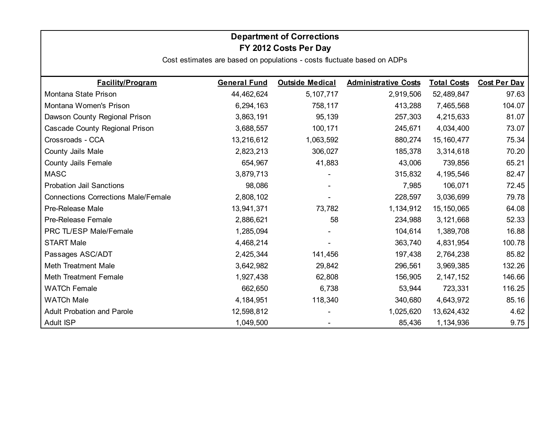# **FY 2012 Costs Per Day Department of Corrections**

| <b>Facility/Program</b>                    | <b>General Fund</b> | <b>Outside Medical</b> | <b>Administrative Costs</b> | <b>Total Costs</b> | <b>Cost Per Day</b> |
|--------------------------------------------|---------------------|------------------------|-----------------------------|--------------------|---------------------|
| Montana State Prison                       | 44,462,624          | 5, 107, 717            | 2,919,506                   | 52,489,847         | 97.63               |
| Montana Women's Prison                     | 6,294,163           | 758,117                | 413,288                     | 7,465,568          | 104.07              |
| Dawson County Regional Prison              | 3,863,191           | 95,139                 | 257,303                     | 4,215,633          | 81.07               |
| Cascade County Regional Prison             | 3,688,557           | 100,171                | 245,671                     | 4,034,400          | 73.07               |
| Crossroads - CCA                           | 13,216,612          | 1,063,592              | 880,274                     | 15, 160, 477       | 75.34               |
| County Jails Male                          | 2,823,213           | 306,027                | 185,378                     | 3,314,618          | 70.20               |
| <b>County Jails Female</b>                 | 654,967             | 41,883                 | 43,006                      | 739,856            | 65.21               |
| <b>MASC</b>                                | 3,879,713           |                        | 315,832                     | 4,195,546          | 82.47               |
| <b>Probation Jail Sanctions</b>            | 98,086              |                        | 7,985                       | 106,071            | 72.45               |
| <b>Connections Corrections Male/Female</b> | 2,808,102           |                        | 228,597                     | 3,036,699          | 79.78               |
| Pre-Release Male                           | 13,941,371          | 73,782                 | 1,134,912                   | 15, 150, 065       | 64.08               |
| Pre-Release Female                         | 2,886,621           | 58                     | 234,988                     | 3,121,668          | 52.33               |
| PRC TL/ESP Male/Female                     | 1,285,094           |                        | 104,614                     | 1,389,708          | 16.88               |
| <b>START Male</b>                          | 4,468,214           |                        | 363,740                     | 4,831,954          | 100.78              |
| Passages ASC/ADT                           | 2,425,344           | 141,456                | 197,438                     | 2,764,238          | 85.82               |
| <b>Meth Treatment Male</b>                 | 3,642,982           | 29,842                 | 296,561                     | 3,969,385          | 132.26              |
| <b>Meth Treatment Female</b>               | 1,927,438           | 62,808                 | 156,905                     | 2, 147, 152        | 146.66              |
| <b>WATCh Female</b>                        | 662,650             | 6,738                  | 53,944                      | 723,331            | 116.25              |
| <b>WATCh Male</b>                          | 4, 184, 951         | 118,340                | 340,680                     | 4,643,972          | 85.16               |
| <b>Adult Probation and Parole</b>          | 12,598,812          |                        | 1,025,620                   | 13,624,432         | 4.62                |
| <b>Adult ISP</b>                           | 1,049,500           |                        | 85,436                      | 1,134,936          | 9.75                |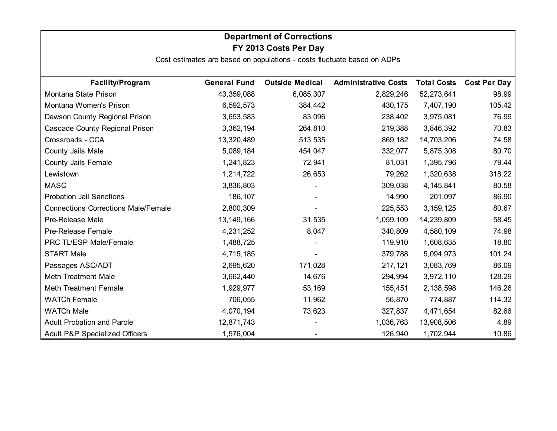# **Department of Corrections FY 2013 Costs Per Day**

| <b>Facility/Program</b>                    | <b>General Fund</b> | <b>Outside Medical</b> | <b>Administrative Costs</b> | <b>Total Costs</b> | <b>Cost Per Day</b> |
|--------------------------------------------|---------------------|------------------------|-----------------------------|--------------------|---------------------|
| Montana State Prison                       | 43,359,088          | 6,085,307              | 2,829,246                   | 52,273,641         | 98.99               |
| Montana Women's Prison                     | 6,592,573           | 384,442                | 430,175                     | 7,407,190          | 105.42              |
| Dawson County Regional Prison              | 3,653,583           | 83,096                 | 238,402                     | 3,975,081          | 76.99               |
| Cascade County Regional Prison             | 3,362,194           | 264,810                | 219,388                     | 3,846,392          | 70.83               |
| Crossroads - CCA                           | 13,320,489          | 513,535                | 869,182                     | 14,703,206         | 74.58               |
| County Jails Male                          | 5,089,184           | 454,047                | 332,077                     | 5,875,308          | 80.70               |
| <b>County Jails Female</b>                 | 1,241,823           | 72,941                 | 81,031                      | 1,395,796          | 79.44               |
| Lewistown                                  | 1,214,722           | 26,653                 | 79,262                      | 1,320,638          | 318.22              |
| <b>MASC</b>                                | 3,836,803           |                        | 309,038                     | 4,145,841          | 80.58               |
| <b>Probation Jail Sanctions</b>            | 186,107             |                        | 14,990                      | 201,097            | 86.90               |
| <b>Connections Corrections Male/Female</b> | 2,800,309           |                        | 225,553                     | 3, 159, 125        | 80.67               |
| Pre-Release Male                           | 13, 149, 166        | 31,535                 | 1,059,109                   | 14,239,809         | 58.45               |
| Pre-Release Female                         | 4,231,252           | 8,047                  | 340,809                     | 4,580,109          | 74.98               |
| PRC TL/ESP Male/Female                     | 1,488,725           |                        | 119,910                     | 1,608,635          | 18.80               |
| <b>START Male</b>                          | 4,715,185           |                        | 379,788                     | 5,094,973          | 101.24              |
| Passages ASC/ADT                           | 2,695,620           | 171,028                | 217,121                     | 3,083,769          | 86.09               |
| <b>Meth Treatment Male</b>                 | 3,662,440           | 14,676                 | 294,994                     | 3,972,110          | 128.29              |
| <b>Meth Treatment Female</b>               | 1,929,977           | 53,169                 | 155,451                     | 2,138,598          | 146.26              |
| <b>WATCh Female</b>                        | 706,055             | 11,962                 | 56,870                      | 774,887            | 114.32              |
| <b>WATCh Male</b>                          | 4,070,194           | 73,623                 | 327,837                     | 4,471,654          | 82.66               |
| <b>Adult Probation and Parole</b>          | 12,871,743          |                        | 1,036,763                   | 13,908,506         | 4.89                |
| <b>Adult P&amp;P Specialized Officers</b>  | 1,576,004           |                        | 126,940                     | 1,702,944          | 10.86               |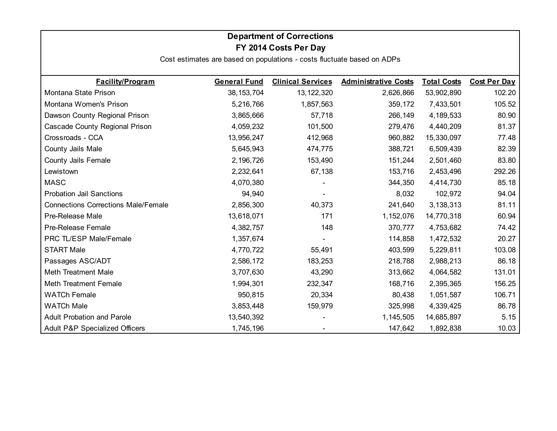### **Department of Corrections FY 2014 Costs Per Day**

| <b>Facility/Program</b>                    | <b>General Fund</b> | <b>Clinical Services</b> | <b>Administrative Costs</b> | <b>Total Costs</b> | <b>Cost Per Day</b> |
|--------------------------------------------|---------------------|--------------------------|-----------------------------|--------------------|---------------------|
| Montana State Prison                       | 38, 153, 704        | 13, 122, 320             | 2,626,866                   | 53,902,890         | 102.20              |
| Montana Women's Prison                     | 5,216,766           | 1,857,563                | 359,172                     | 7,433,501          | 105.52              |
| Dawson County Regional Prison              | 3,865,666           | 57,718                   | 266,149                     | 4,189,533          | 80.90               |
| Cascade County Regional Prison             | 4,059,232           | 101,500                  | 279,476                     | 4,440,209          | 81.37               |
| Crossroads - CCA                           | 13,956,247          | 412,968                  | 960,882                     | 15,330,097         | 77.48               |
| County Jails Male                          | 5,645,943           | 474,775                  | 388,721                     | 6,509,439          | 82.39               |
| County Jails Female                        | 2,196,726           | 153,490                  | 151,244                     | 2,501,460          | 83.80               |
| Lewistown                                  | 2,232,641           | 67,138                   | 153,716                     | 2,453,496          | 292.26              |
| <b>MASC</b>                                | 4,070,380           |                          | 344,350                     | 4,414,730          | 85.18               |
| <b>Probation Jail Sanctions</b>            | 94,940              |                          | 8,032                       | 102,972            | 94.04               |
| <b>Connections Corrections Male/Female</b> | 2,856,300           | 40,373                   | 241,640                     | 3,138,313          | 81.11               |
| Pre-Release Male                           | 13,618,071          | 171                      | 1,152,076                   | 14,770,318         | 60.94               |
| Pre-Release Female                         | 4,382,757           | 148                      | 370,777                     | 4,753,682          | 74.42               |
| PRC TL/ESP Male/Female                     | 1,357,674           |                          | 114,858                     | 1,472,532          | 20.27               |
| <b>START Male</b>                          | 4,770,722           | 55,491                   | 403,599                     | 5,229,811          | 103.08              |
| Passages ASC/ADT                           | 2,586,172           | 183,253                  | 218,788                     | 2,988,213          | 86.18               |
| <b>Meth Treatment Male</b>                 | 3,707,630           | 43,290                   | 313,662                     | 4,064,582          | 131.01              |
| <b>Meth Treatment Female</b>               | 1,994,301           | 232,347                  | 168,716                     | 2,395,365          | 156.25              |
| <b>WATCh Female</b>                        | 950,815             | 20,334                   | 80,438                      | 1,051,587          | 106.71              |
| <b>WATCh Male</b>                          | 3,853,448           | 159,979                  | 325,998                     | 4,339,425          | 86.78               |
| <b>Adult Probation and Parole</b>          | 13,540,392          |                          | 1,145,505                   | 14,685,897         | 5.15                |
| Adult P&P Specialized Officers             | 1,745,196           |                          | 147,642                     | 1,892,838          | 10.03               |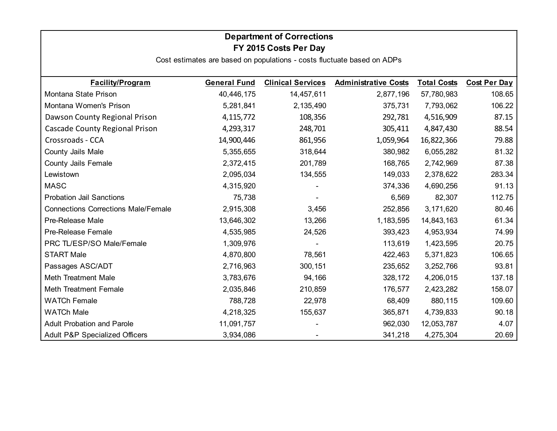# **Department of Corrections FY 2015 Costs Per Day**

| <b>Facility/Program</b>                    | <b>General Fund</b> | <b>Clinical Services</b> | <b>Administrative Costs</b> | <b>Total Costs</b> | <b>Cost Per Day</b> |
|--------------------------------------------|---------------------|--------------------------|-----------------------------|--------------------|---------------------|
| Montana State Prison                       | 40,446,175          | 14,457,611               | 2,877,196                   | 57,780,983         | 108.65              |
| Montana Women's Prison                     | 5,281,841           | 2,135,490                | 375,731                     | 7,793,062          | 106.22              |
| Dawson County Regional Prison              | 4, 115, 772         | 108,356                  | 292,781                     | 4,516,909          | 87.15               |
| Cascade County Regional Prison             | 4,293,317           | 248,701                  | 305,411                     | 4,847,430          | 88.54               |
| Crossroads - CCA                           | 14,900,446          | 861,956                  | 1,059,964                   | 16,822,366         | 79.88               |
| County Jails Male                          | 5,355,655           | 318,644                  | 380,982                     | 6,055,282          | 81.32               |
| <b>County Jails Female</b>                 | 2,372,415           | 201,789                  | 168,765                     | 2,742,969          | 87.38               |
| Lewistown                                  | 2,095,034           | 134,555                  | 149,033                     | 2,378,622          | 283.34              |
| <b>MASC</b>                                | 4,315,920           |                          | 374,336                     | 4,690,256          | 91.13               |
| <b>Probation Jail Sanctions</b>            | 75,738              |                          | 6,569                       | 82,307             | 112.75              |
| <b>Connections Corrections Male/Female</b> | 2,915,308           | 3,456                    | 252,856                     | 3,171,620          | 80.46               |
| Pre-Release Male                           | 13,646,302          | 13,266                   | 1,183,595                   | 14,843,163         | 61.34               |
| Pre-Release Female                         | 4,535,985           | 24,526                   | 393,423                     | 4,953,934          | 74.99               |
| PRC TL/ESP/SO Male/Female                  | 1,309,976           |                          | 113,619                     | 1,423,595          | 20.75               |
| <b>START Male</b>                          | 4,870,800           | 78,561                   | 422,463                     | 5,371,823          | 106.65              |
| Passages ASC/ADT                           | 2,716,963           | 300,151                  | 235,652                     | 3,252,766          | 93.81               |
| <b>Meth Treatment Male</b>                 | 3,783,676           | 94,166                   | 328,172                     | 4,206,015          | 137.18              |
| <b>Meth Treatment Female</b>               | 2,035,846           | 210,859                  | 176,577                     | 2,423,282          | 158.07              |
| <b>WATCh Female</b>                        | 788,728             | 22,978                   | 68,409                      | 880,115            | 109.60              |
| <b>WATCh Male</b>                          | 4,218,325           | 155,637                  | 365,871                     | 4,739,833          | 90.18               |
| <b>Adult Probation and Parole</b>          | 11,091,757          |                          | 962,030                     | 12,053,787         | 4.07                |
| <b>Adult P&amp;P Specialized Officers</b>  | 3,934,086           |                          | 341,218                     | 4,275,304          | 20.69               |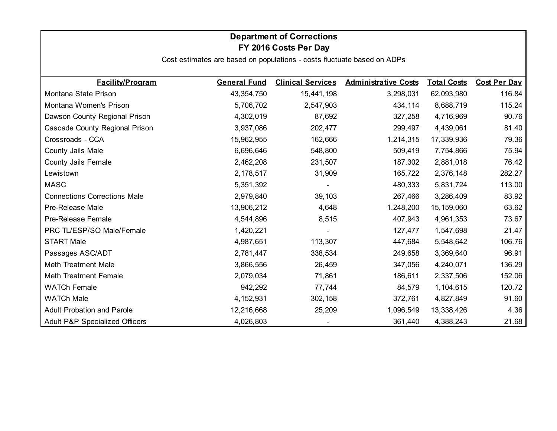### **Department of Corrections FY 2016 Costs Per Day**

| <b>Facility/Program</b>                   | <b>General Fund</b> | <b>Clinical Services</b> | <b>Administrative Costs</b> | <b>Total Costs</b> | <b>Cost Per Day</b> |
|-------------------------------------------|---------------------|--------------------------|-----------------------------|--------------------|---------------------|
| Montana State Prison                      | 43,354,750          | 15,441,198               | 3,298,031                   | 62,093,980         | 116.84              |
| Montana Women's Prison                    | 5,706,702           | 2,547,903                | 434,114                     | 8,688,719          | 115.24              |
| Dawson County Regional Prison             | 4,302,019           | 87,692                   | 327,258                     | 4,716,969          | 90.76               |
| Cascade County Regional Prison            | 3,937,086           | 202,477                  | 299,497                     | 4,439,061          | 81.40               |
| Crossroads - CCA                          | 15,962,955          | 162,666                  | 1,214,315                   | 17,339,936         | 79.36               |
| County Jails Male                         | 6,696,646           | 548,800                  | 509,419                     | 7,754,866          | 75.94               |
| County Jails Female                       | 2,462,208           | 231,507                  | 187,302                     | 2,881,018          | 76.42               |
| Lewistown                                 | 2,178,517           | 31,909                   | 165,722                     | 2,376,148          | 282.27              |
| <b>MASC</b>                               | 5,351,392           |                          | 480,333                     | 5,831,724          | 113.00              |
| <b>Connections Corrections Male</b>       | 2,979,840           | 39,103                   | 267,466                     | 3,286,409          | 83.92               |
| Pre-Release Male                          | 13,906,212          | 4,648                    | 1,248,200                   | 15, 159, 060       | 63.62               |
| Pre-Release Female                        | 4,544,896           | 8,515                    | 407,943                     | 4,961,353          | 73.67               |
| PRC TL/ESP/SO Male/Female                 | 1,420,221           |                          | 127,477                     | 1,547,698          | 21.47               |
| <b>START Male</b>                         | 4,987,651           | 113,307                  | 447,684                     | 5,548,642          | 106.76              |
| Passages ASC/ADT                          | 2,781,447           | 338,534                  | 249,658                     | 3,369,640          | 96.91               |
| <b>Meth Treatment Male</b>                | 3,866,556           | 26,459                   | 347,056                     | 4,240,071          | 136.29              |
| <b>Meth Treatment Female</b>              | 2,079,034           | 71,861                   | 186,611                     | 2,337,506          | 152.06              |
| <b>WATCh Female</b>                       | 942,292             | 77,744                   | 84,579                      | 1,104,615          | 120.72              |
| <b>WATCh Male</b>                         | 4, 152, 931         | 302,158                  | 372,761                     | 4,827,849          | 91.60               |
| <b>Adult Probation and Parole</b>         | 12,216,668          | 25,209                   | 1,096,549                   | 13,338,426         | 4.36                |
| <b>Adult P&amp;P Specialized Officers</b> | 4,026,803           |                          | 361,440                     | 4,388,243          | 21.68               |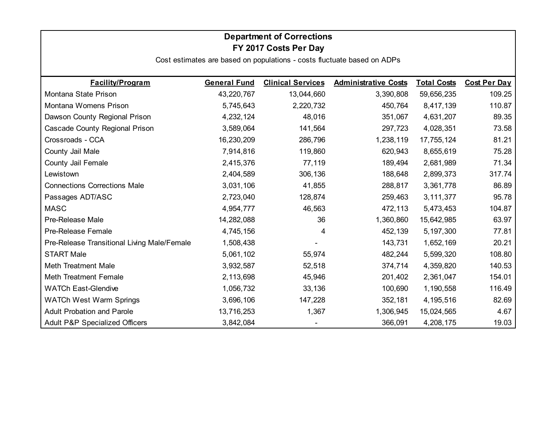# **Department of Corrections FY 2017 Costs Per Day**

| <b>Facility/Program</b>                     | <b>General Fund</b> | <b>Clinical Services</b> | <b>Administrative Costs</b> | <b>Total Costs</b> | <b>Cost Per Day</b> |
|---------------------------------------------|---------------------|--------------------------|-----------------------------|--------------------|---------------------|
| Montana State Prison                        | 43,220,767          | 13,044,660               | 3,390,808                   | 59,656,235         | 109.25              |
| Montana Womens Prison                       | 5,745,643           | 2,220,732                | 450,764                     | 8,417,139          | 110.87              |
| Dawson County Regional Prison               | 4,232,124           | 48,016                   | 351,067                     | 4,631,207          | 89.35               |
| Cascade County Regional Prison              | 3,589,064           | 141,564                  | 297,723                     | 4,028,351          | 73.58               |
| Crossroads - CCA                            | 16,230,209          | 286,796                  | 1,238,119                   | 17,755,124         | 81.21               |
| County Jail Male                            | 7,914,816           | 119,860                  | 620,943                     | 8,655,619          | 75.28               |
| County Jail Female                          | 2,415,376           | 77,119                   | 189,494                     | 2,681,989          | 71.34               |
| Lewistown                                   | 2,404,589           | 306,136                  | 188,648                     | 2,899,373          | 317.74              |
| <b>Connections Corrections Male</b>         | 3,031,106           | 41,855                   | 288,817                     | 3,361,778          | 86.89               |
| Passages ADT/ASC                            | 2,723,040           | 128,874                  | 259,463                     | 3,111,377          | 95.78               |
| <b>MASC</b>                                 | 4,954,777           | 46,563                   | 472,113                     | 5,473,453          | 104.87              |
| Pre-Release Male                            | 14,282,088          | 36                       | 1,360,860                   | 15,642,985         | 63.97               |
| Pre-Release Female                          | 4,745,156           | 4                        | 452,139                     | 5,197,300          | 77.81               |
| Pre-Release Transitional Living Male/Female | 1,508,438           |                          | 143,731                     | 1,652,169          | 20.21               |
| <b>START Male</b>                           | 5,061,102           | 55,974                   | 482,244                     | 5,599,320          | 108.80              |
| <b>Meth Treatment Male</b>                  | 3,932,587           | 52,518                   | 374,714                     | 4,359,820          | 140.53              |
| <b>Meth Treatment Female</b>                | 2,113,698           | 45,946                   | 201,402                     | 2,361,047          | 154.01              |
| <b>WATCh East-Glendive</b>                  | 1,056,732           | 33,136                   | 100,690                     | 1,190,558          | 116.49              |
| <b>WATCh West Warm Springs</b>              | 3,696,106           | 147,228                  | 352,181                     | 4,195,516          | 82.69               |
| <b>Adult Probation and Parole</b>           | 13,716,253          | 1,367                    | 1,306,945                   | 15,024,565         | 4.67                |
| <b>Adult P&amp;P Specialized Officers</b>   | 3,842,084           |                          | 366,091                     | 4,208,175          | 19.03               |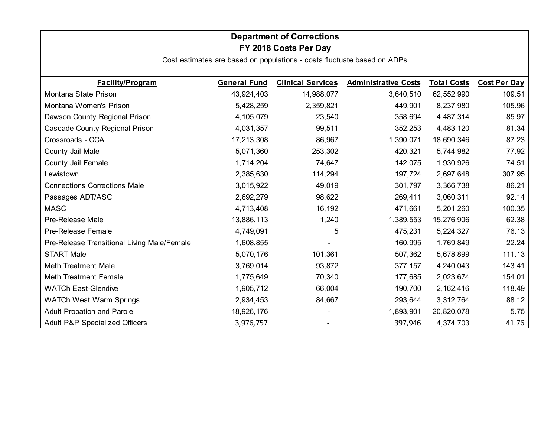# **Department of Corrections FY 2018 Costs Per Day**

| <b>Facility/Program</b>                     | <b>General Fund</b> | <b>Clinical Services</b> | <b>Administrative Costs</b> | <b>Total Costs</b> | <b>Cost Per Day</b> |
|---------------------------------------------|---------------------|--------------------------|-----------------------------|--------------------|---------------------|
| Montana State Prison                        | 43,924,403          | 14,988,077               | 3,640,510                   | 62,552,990         | 109.51              |
| Montana Women's Prison                      | 5,428,259           | 2,359,821                | 449,901                     | 8,237,980          | 105.96              |
| Dawson County Regional Prison               | 4,105,079           | 23,540                   | 358,694                     | 4,487,314          | 85.97               |
| Cascade County Regional Prison              | 4,031,357           | 99,511                   | 352,253                     | 4,483,120          | 81.34               |
| Crossroads - CCA                            | 17,213,308          | 86,967                   | 1,390,071                   | 18,690,346         | 87.23               |
| County Jail Male                            | 5,071,360           | 253,302                  | 420,321                     | 5,744,982          | 77.92               |
| County Jail Female                          | 1,714,204           | 74,647                   | 142,075                     | 1,930,926          | 74.51               |
| Lewistown                                   | 2,385,630           | 114,294                  | 197,724                     | 2,697,648          | 307.95              |
| <b>Connections Corrections Male</b>         | 3,015,922           | 49,019                   | 301,797                     | 3,366,738          | 86.21               |
| Passages ADT/ASC                            | 2,692,279           | 98,622                   | 269,411                     | 3,060,311          | 92.14               |
| <b>MASC</b>                                 | 4,713,408           | 16,192                   | 471,661                     | 5,201,260          | 100.35              |
| Pre-Release Male                            | 13,886,113          | 1,240                    | 1,389,553                   | 15,276,906         | 62.38               |
| Pre-Release Female                          | 4,749,091           | 5                        | 475,231                     | 5,224,327          | 76.13               |
| Pre-Release Transitional Living Male/Female | 1,608,855           |                          | 160,995                     | 1,769,849          | 22.24               |
| <b>START Male</b>                           | 5,070,176           | 101,361                  | 507,362                     | 5,678,899          | 111.13              |
| <b>Meth Treatment Male</b>                  | 3,769,014           | 93,872                   | 377,157                     | 4,240,043          | 143.41              |
| Meth Treatment Female                       | 1,775,649           | 70,340                   | 177,685                     | 2,023,674          | 154.01              |
| <b>WATCh East-Glendive</b>                  | 1,905,712           | 66,004                   | 190,700                     | 2,162,416          | 118.49              |
| <b>WATCh West Warm Springs</b>              | 2,934,453           | 84,667                   | 293,644                     | 3,312,764          | 88.12               |
| <b>Adult Probation and Parole</b>           | 18,926,176          |                          | 1,893,901                   | 20,820,078         | 5.75                |
| <b>Adult P&amp;P Specialized Officers</b>   | 3,976,757           |                          | 397,946                     | 4,374,703          | 41.76               |